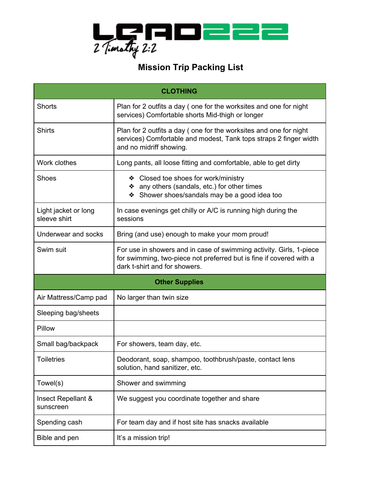

## **Mission Trip Packing List**

| <b>CLOTHING</b>                      |                                                                                                                                                                             |
|--------------------------------------|-----------------------------------------------------------------------------------------------------------------------------------------------------------------------------|
| <b>Shorts</b>                        | Plan for 2 outfits a day (one for the worksites and one for night<br>services) Comfortable shorts Mid-thigh or longer                                                       |
| <b>Shirts</b>                        | Plan for 2 outfits a day (one for the worksites and one for night<br>services) Comfortable and modest, Tank tops straps 2 finger width<br>and no midriff showing.           |
| Work clothes                         | Long pants, all loose fitting and comfortable, able to get dirty                                                                                                            |
| <b>Shoes</b>                         | ❖ Closed toe shoes for work/ministry<br>❖ any others (sandals, etc.) for other times<br>Shower shoes/sandals may be a good idea too<br>❖                                    |
| Light jacket or long<br>sleeve shirt | In case evenings get chilly or A/C is running high during the<br>sessions                                                                                                   |
| Underwear and socks                  | Bring (and use) enough to make your mom proud!                                                                                                                              |
| Swim suit                            | For use in showers and in case of swimming activity. Girls, 1-piece<br>for swimming, two-piece not preferred but is fine if covered with a<br>dark t-shirt and for showers. |
| <b>Other Supplies</b>                |                                                                                                                                                                             |
| Air Mattress/Camp pad                | No larger than twin size                                                                                                                                                    |
| Sleeping bag/sheets                  |                                                                                                                                                                             |
| Pillow                               |                                                                                                                                                                             |
| Small bag/backpack                   | For showers, team day, etc.                                                                                                                                                 |
| <b>Toiletries</b>                    | Deodorant, soap, shampoo, toothbrush/paste, contact lens<br>solution, hand sanitizer, etc.                                                                                  |
| Towel(s)                             | Shower and swimming                                                                                                                                                         |
| Insect Repellant &<br>sunscreen      | We suggest you coordinate together and share                                                                                                                                |
| Spending cash                        | For team day and if host site has snacks available                                                                                                                          |
| Bible and pen                        | It's a mission trip!                                                                                                                                                        |